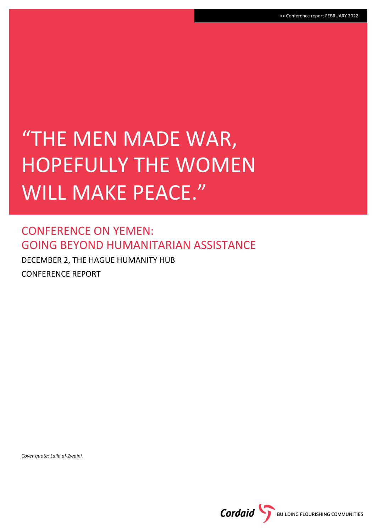# "THE MEN MADE WAR, HOPEFULLY THE WOMEN WILL MAKE PEACE."

### CONFERENCE ON YEMEN: GOING BEYOND HUMANITARIAN ASSISTANCE

DECEMBER 2, THE HAGUE HUMANITY HUB CONFERENCE REPORT

*Cover quote: Laila al-Zwaini.*

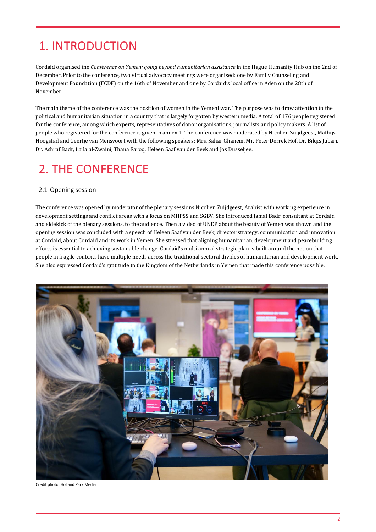### 1. INTRODUCTION

Cordaid organised the *Conference on Yemen: going beyond humanitarian assistance* in the Hague Humanity Hub on the 2nd of December. Prior to the conference, two virtual advocacy meetings were organised: one by Family Counseling and Development Foundation (FCDF) on the 16th of November and one by Cordaid's local office in Aden on the 28th of November.

The main theme of the conference was the position of women in the Yemeni war. The purpose was to draw attention to the political and humanitarian situation in a country that is largely forgotten by western media. A total of 176 people registered for the conference, among which experts, representatives of donor organisations, journalists and policy makers. A list of people who registered for the conference is given in annex 1. The conference was moderated by Nicolien Zuijdgeest, Mathijs Hoogstad and Geertje van Mensvoort with the following speakers: Mrs. Sahar Ghanem, Mr. Peter Derrek Hof, Dr. Bilqis Jubari, Dr. Ashraf Badr, Laila al-Zwaini, Thana Faroq, Heleen Saaf van der Beek and Jos Dusseljee.

### 2. THE CONFERENCE

#### 2.1 Opening session

The conference was opened by moderator of the plenary sessions Nicolien Zuijdgeest, Arabist with working experience in development settings and conflict areas with a focus on MHPSS and SGBV. She introduced Jamal Badr, consultant at Cordaid and sidekick of the plenary sessions, to the audience. Then a video of UNDP about the beauty of Yemen was shown and the opening session was concluded with a speech of Heleen Saaf van der Beek, director strategy, communication and innovation at Cordaid, about Cordaid and its work in Yemen. She stressed that aligning humanitarian, development and peacebuilding efforts is essential to achieving sustainable change. Cordaid's multi annual strategic plan is built around the notion that people in fragile contexts have multiple needs across the traditional sectoral divides of humanitarian and development work. She also expressed Cordaid's gratitude to the Kingdom of the Netherlands in Yemen that made this conference possible.



Credit photo: Holland Park Media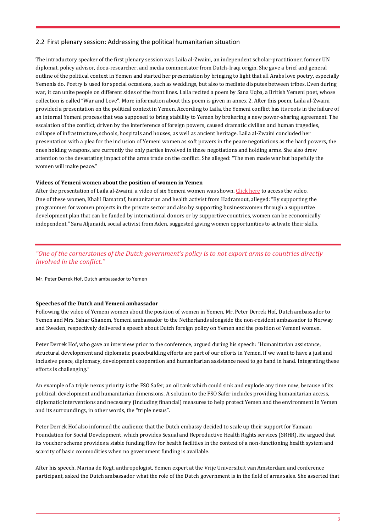#### 2.2 First plenary session: Addressing the political humanitarian situation

The introductory speaker of the first plenary session was Laila al-Zwaini, an independent scholar-practitioner, former UN diplomat, policy advisor, docu-researcher, and media commentator from Dutch-Iraqi origin. She gave a brief and general outline of the political context in Yemen and started her presentation by bringing to light that all Arabs love poetry, especially Yemenis do. Poetry is used for special occasions, such as weddings, but also to mediate disputes between tribes. Even during war, it can unite people on different sides of the front lines. Laila recited a poem by Sana Uqba, a British Yemeni poet, whose collection is called "War and Love". More information about this poem is given in annex 2. After this poem, Laila al-Zwaini provided a presentation on the political context in Yemen. According to Laila, the Yemeni conflict has its roots in the failure of an internal Yemeni process that was supposed to bring stability to Yemen by brokering a new power-sharing agreement. The escalation of the conflict, driven by the interference of foreign powers, caused dramatic civilian and human tragedies, collapse of infrastructure, schools, hospitals and houses, as well as ancient heritage. Laila al-Zwaini concluded her presentation with a plea for the inclusion of Yemeni women as soft powers in the peace negotiations as the hard powers, the ones holding weapons, are currently the only parties involved in these negotiations and holding arms. She also drew attention to the devastating impact of the arms trade on the conflict. She alleged: "The men made war but hopefully the women will make peace."

#### **Videos of Yemeni women about the position of women in Yemen**

After the presentation of Laila al-Zwaini, a video of six Yemeni women was shown. [Click here](https://www.youtube.com/watch?v=w9ayDkj28q0&t=6s) to access the video. One of these women, Khalil Bamatraf, humanitarian and health activist from Hadramout, alleged: "By supporting the programmes for women projects in the private sector and also by supporting businesswomen through a supportive development plan that can be funded by international donors or by supportive countries, women can be economically independent." Sara Aljunaidi, social activist from Aden, suggested giving women opportunities to activate their skills.

### *"One of the cornerstones of the Dutch government's policy is to not export arms to countries directly involved in the conflict."*

Mr. Peter Derrek Hof, Dutch ambassador to Yemen

#### **Speeches of the Dutch and Yemeni ambassador**

Following the video of Yemeni women about the position of women in Yemen, Mr. Peter Derrek Hof, Dutch ambassador to Yemen and Mrs. Sahar Ghanem, Yemeni ambassador to the Netherlands alongside the non-resident ambassador to Norway and Sweden, respectively delivered a speech about Dutch foreign policy on Yemen and the position of Yemeni women.

Peter Derrek Hof, who gave an interview prior to the conference, argued during his speech: "Humanitarian assistance, structural development and diplomatic peacebuilding efforts are part of our efforts in Yemen. If we want to have a just and inclusive peace, diplomacy, development cooperation and humanitarian assistance need to go hand in hand. Integrating these efforts is challenging."

An example of a triple nexus priority is the FSO Safer, an oil tank which could sink and explode any time now, because of its political, development and humanitarian dimensions. A solution to the FSO Safer includes providing humanitarian access, diplomatic interventions and necessary (including financial) measures to help protect Yemen and the environment in Yemen and its surroundings, in other words, the "triple nexus".

Peter Derrek Hof also informed the audience that the Dutch embassy decided to scale up their support for Yamaan Foundation for Social Development, which provides Sexual and Reproductive Health Rights services (SRHR). He argued that its voucher scheme provides a stable funding flow for health facilities in the context of a non-functioning health system and scarcity of basic commodities when no government funding is available.

After his speech, Marina de Regt, anthropologist, Yemen expert at the Vrije Universiteit van Amsterdam and conference participant, asked the Dutch ambassador what the role of the Dutch government is in the field of arms sales. She asserted that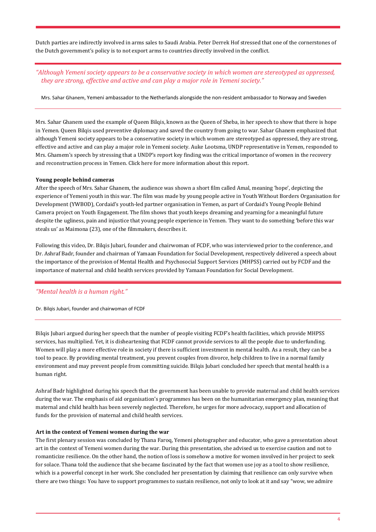Dutch parties are indirectly involved in arms sales to Saudi Arabia. Peter Derrek Hof stressed that one of the cornerstones of the Dutch government's policy is to not export arms to countries directly involved in the conflict.

#### *"Although Yemeni society appears to be a conservative society in which women are stereotyped as oppressed, they are strong, effective and active and can play a major role in Yemeni society."*

Mrs. Sahar Ghanem, Yemeni ambassador to the Netherlands alongside the non-resident ambassador to Norway and Sweden

Mrs. Sahar Ghanem used the example of Queen Bilqis, known as the Queen of Sheba, in her speech to show that there is hope in Yemen. Queen Bilqis used preventive diplomacy and saved the country from going to war. Sahar Ghanem emphasized that although Yemeni society appears to be a conservative society in which women are stereotyped as oppressed, they are strong, effective and active and can play a major role in Yemeni society. Auke Lootsma, UNDP representative in Yemen, responded to Mrs. Ghamem's speech by stressing that a UNDP's report key finding was the critical importance of women in the recovery and reconstruction process in Yemen[. Click here](https://www.ye.undp.org/content/yemen/en/home/library/assessing-the-impact-of-war-in-yemen--pathways-for-recovery.html?utm_source=EN&utm_medium=GSR&utm_content=US_UNDP_PaidSearch_Brand_English&utm_campaign=CENTRAL&c_src=CENTRAL&c_src2=GSR&gclid=Cj0KCQiAuP-OBhDqARIsAD4XHpfqGQeR903Vb6Tdi4Vp-DSzO8k0YLoBW2RjKz2VtxUjWuSIQ7tncaoaAhlvEALw_wcB) for more information about this report.

#### **Young people behind cameras**

After the speech of Mrs. Sahar Ghanem, the audience was shown a short film called Amal, meaning 'hope', depicting the experience of Yemeni youth in this war. The film was made by young people active in Youth Without Borders Organisation for Development (YWBOD), Cordaid's youth-led partner organisation in Yemen, as part of Cordaid's Young People Behind Camera project on Youth Engagement. The film shows that youth keeps dreaming and yearning for a meaningful future despite the ugliness, pain and injustice that young people experience in Yemen. They want to do something 'before this war steals us' as Maimona (23), one of the filmmakers, describes it.

Following this video, Dr. Bilqis Jubari, founder and chairwoman of FCDF, who was interviewed prior to the conference, and Dr. Ashraf Badr, founder and chairman of Yamaan Foundation for Social Development, respectively delivered a speech about the importance of the provision of Mental Health and Psychosocial Support Services (MHPSS) carried out by FCDF and the importance of maternal and child health services provided by Yamaan Foundation for Social Development.

#### *"Mental health is a human right."*

Dr. Bilqis Jubari, founder and chairwoman of FCDF

Bilqis Jubari argued during her speech that the number of people visiting FCDF's health facilities, which provide MHPSS services, has multiplied. Yet, it is disheartening that FCDF cannot provide services to all the people due to underfunding. Women will play a more effective role in society if there is sufficient investment in mental health. As a result, they can be a tool to peace. By providing mental treatment, you prevent couples from divorce, help children to live in a normal family environment and may prevent people from committing suicide. Bilqis Jubari concluded her speech that mental health is a human right.

Ashraf Badr highlighted during his speech that the government has been unable to provide maternal and child health services during the war. The emphasis of aid organisation's programmes has been on the humanitarian emergency plan, meaning that maternal and child health has been severely neglected. Therefore, he urges for more advocacy, support and allocation of funds for the provision of maternal and child health services.

#### **Art in the context of Yemeni women during the war**

The first plenary session was concluded by Thana Faroq, Yemeni photographer and educator, who gave a presentation about art in the context of Yemeni women during the war. During this presentation, she advised us to exercise caution and not to romanticize resilience. On the other hand, the notion of loss is somehow a motive for women involved in her project to seek for solace. Thana told the audience that she became fascinated by the fact that women use joy as a tool to show resilience, which is a powerful concept in her work. She concluded her presentation by claiming that resilience can only survive when there are two things: You have to support programmes to sustain resilience, not only to look at it and say "wow, we admire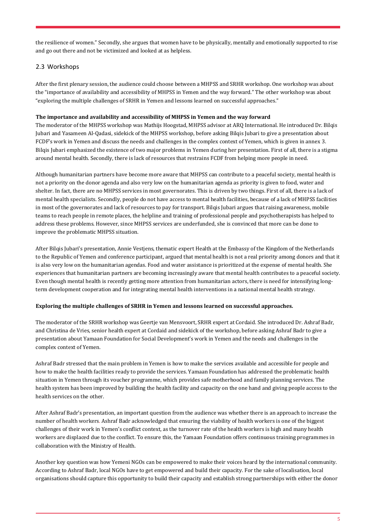the resilience of women." Secondly, she argues that women have to be physically, mentally and emotionally supported to rise and go out there and not be victimized and looked at as helpless.

#### 2.3 Workshops

After the first plenary session, the audience could choose between a MHPSS and SRHR workshop. One workshop was about the "importance of availability and accessibility of MHPSS in Yemen and the way forward." The other workshop was about "exploring the multiple challenges of SRHR in Yemen and lessons learned on successful approaches."

#### **The importance and availability and accessibility of MHPSS in Yemen and the way forward**

The moderator of the MHPSS workshop was Mathijs Hoogstad, MHPSS advisor at ARQ International. He introduced Dr. Bilqis Jubari and Yasameen Al-Qadasi, sidekick of the MHPSS workshop, before asking Bilqis Jubari to give a presentation about FCDF's work in Yemen and discuss the needs and challenges in the complex context of Yemen, which is given in annex 3. Bilqis Jubari emphasized the existence of two major problems in Yemen during her presentation. First of all, there is a stigma around mental health. Secondly, there is lack of resources that restrains FCDF from helping more people in need.

Although humanitarian partners have become more aware that MHPSS can contribute to a peaceful society, mental health is not a priority on the donor agenda and also very low on the humanitarian agenda as priority is given to food, water and shelter. In fact, there are no MHPSS services in most governorates. This is driven by two things. First of all, there is a lack of mental health specialists. Secondly, people do not have access to mental health facilities, because of a lack of MHPSS facilities in most of the governorates and lack of resources to pay for transport. Bilqis Jubari argues that raising awareness, mobile teams to reach people in remote places, the helpline and training of professional people and psychotherapists has helped to address these problems. However, since MHPSS services are underfunded, she is convinced that more can be done to improve the problematic MHPSS situation.

After Bilqis Jubari's presentation, Annie Vestjens, thematic expert Health at the Embassy of the Kingdom of the Netherlands to the Republic of Yemen and conference participant, argued that mental health is not a real priority among donors and that it is also very low on the humanitarian agendas. Food and water assistance is prioritized at the expense of mental health. She experiences that humanitarian partners are becoming increasingly aware that mental health contributes to a peaceful society. Even though mental health is recently getting more attention from humanitarian actors, there is need for intensifying longterm development cooperation and for integrating mental health interventions in a national mental health strategy.

#### **Exploring the multiple challenges of SRHR in Yemen and lessons learned on successful approaches.**

The moderator of the SRHR workshop was Geertje van Mensvoort, SRHR expert at Cordaid. She introduced Dr. Ashraf Badr, and Christina de Vries, senior health expert at Cordaid and sidekick of the workshop, before asking Ashraf Badr to give a presentation about Yamaan Foundation for Social Development's work in Yemen and the needs and challenges in the complex context of Yemen.

Ashraf Badr stressed that the main problem in Yemen is how to make the services available and accessible for people and how to make the health facilities ready to provide the services. Yamaan Foundation has addressed the problematic health situation in Yemen through its voucher programme, which provides safe motherhood and family planning services. The health system has been improved by building the health facility and capacity on the one hand and giving people access to the health services on the other.

After Ashraf Badr's presentation, an important question from the audience was whether there is an approach to increase the number of health workers. Ashraf Badr acknowledged that ensuring the viability of health workers is one of the biggest challenges of their work in Yemen's conflict context, as the turnover rate of the health workers is high and many health workers are displaced due to the conflict. To ensure this, the Yamaan Foundation offers continuous training programmes in collaboration with the Ministry of Health.

Another key question was how Yemeni NGOs can be empowered to make their voices heard by the international community. According to Ashraf Badr, local NGOs have to get empowered and build their capacity. For the sake of localisation, local organisations should capture this opportunity to build their capacity and establish strong partnerships with either the donor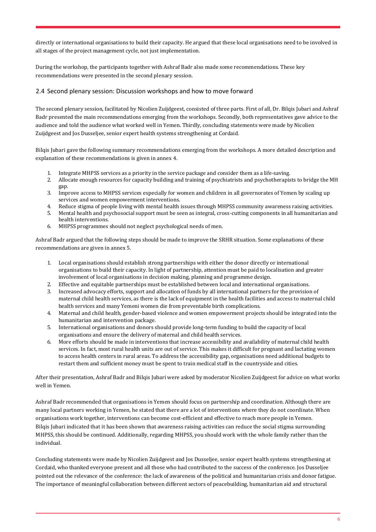directly or international organisations to build their capacity. He argued that these local organisations need to be involved in all stages of the project management cycle, not just implementation.

During the workshop, the participants together with Ashraf Badr also made some recommendations. These key recommendations were presented in the second plenary session.

#### 2.4 Second plenary session: Discussion workshops and how to move forward

The second plenary session, facilitated by Nicolien Zuijdgeest, consisted of three parts. First of all, Dr. Bilqis Jubari and Ashraf Badr presented the main recommendations emerging from the workshops. Secondly, both representatives gave advice to the audience and told the audience what worked well in Yemen. Thirdly, concluding statements were made by Nicolien Zuijdgeest and Jos Dusseljee, senior expert health systems strengthening at Cordaid.

Bilqis Jubari gave the following summary recommendations emerging from the workshops. A more detailed description and explanation of these recommendations is given in annex 4.

- 1. Integrate MHPSS services as a priority in the service package and consider them as a life-saving.
- 2. Allocate enough resources for capacity building and training of psychiatrists and psychotherapists to bridge the MH gap.
- 3. Improve access to MHPSS services especially for women and children in all governorates of Yemen by scaling up services and women empowerment interventions.
- 4. Reduce stigma of people living with mental health issues through MHPSS community awareness raising activities.
- 5. Mental health and psychosocial support must be seen as integral, cross-cutting components in all humanitarian and health interventions.
- 6. MHPSS programmes should not neglect psychological needs of men.

Ashraf Badr argued that the following steps should be made to improve the SRHR situation. Some explanations of these recommendations are given in annex 5.

- 1. Local organisations should establish strong partnerships with either the donor directly or international organisations to build their capacity. In light of partnership, attention must be paid to localisation and greater involvement of local organisations in decision making, planning and programme design.
- 2. Effective and equitable partnerships must be established between local and international organisations.
- 3. Increased advocacy efforts, support and allocation of funds by all international partners for the provision of maternal child health services, as there is the lack of equipment in the health facilities and access to maternal child health services and many Yemeni women die from preventable birth complications.
- 4. Maternal and child health, gender-based violence and women empowerment projects should be integrated into the humanitarian and intervention package.
- 5. International organisations and donors should provide long-term funding to build the capacity of local organisations and ensure the delivery of maternal and child health services.
- 6. More efforts should be made in interventions that increase accessibility and availability of maternal child health services. In fact, most rural health units are out of service. This makes it difficult for pregnant and lactating women to access health centers in rural areas. To address the accessibility gap, organisations need additional budgets to restart them and sufficient money must be spent to train medical staff in the countryside and cities.

After their presentation, Ashraf Badr and Bilqis Jubari were asked by moderator Nicolien Zuijdgeest for advice on what works well in Yemen.

Ashraf Badr recommended that organisations in Yemen should focus on partnership and coordination. Although there are many local partners working in Yemen, he stated that there are a lot of interventions where they do not coordinate. When organisations work together, interventions can become cost-efficient and effective to reach more people in Yemen. Bilqis Jubari indicated that it has been shown that awareness raising activities can reduce the social stigma surrounding MHPSS, this should be continued. Additionally, regarding MHPSS, you should work with the whole family rather than the individual.

Concluding statements were made by Nicolien Zuijdgeest and Jos Dusseljee, senior expert health systems strengthening at Cordaid, who thanked everyone present and all those who had contributed to the success of the conference. Jos Dusseljee pointed out the relevance of the conference: the lack of awareness of the political and humanitarian crisis and donor fatigue. The importance of meaningful collaboration between different sectors of peacebuilding, humanitarian aid and structural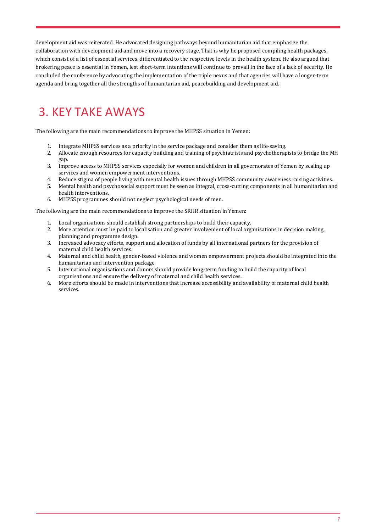development aid was reiterated. He advocated designing pathways beyond humanitarian aid that emphasize the collaboration with development aid and move into a recovery stage. That is why he proposed compiling health packages, which consist of a list of essential services, differentiated to the respective levels in the health system. He also argued that brokering peace is essential in Yemen, lest short-term intentions will continue to prevail in the face of a lack of security. He concluded the conference by advocating the implementation of the triple nexus and that agencies will have a longer-term agenda and bring together all the strengths of humanitarian aid, peacebuilding and development aid.

## 3. KEY TAKE AWAYS

The following are the main recommendations to improve the MHPSS situation in Yemen:

- 1. Integrate MHPSS services as a priority in the service package and consider them as life-saving.
- 2. Allocate enough resources for capacity building and training of psychiatrists and psychotherapists to bridge the MH gap.
- 3. Improve access to MHPSS services especially for women and children in all governorates of Yemen by scaling up services and women empowerment interventions.
- 4. Reduce stigma of people living with mental health issues through MHPSS community awareness raising activities.
- 5. Mental health and psychosocial support must be seen as integral, cross-cutting components in all humanitarian and health interventions.
- 6. MHPSS programmes should not neglect psychological needs of men.

The following are the main recommendations to improve the SRHR situation in Yemen:

- 1. Local organisations should establish strong partnerships to build their capacity.
- 2. More attention must be paid to localisation and greater involvement of local organisations in decision making, planning and programme design.
- 3. Increased advocacy efforts, support and allocation of funds by all international partners for the provision of maternal child health services.
- 4. Maternal and child health, gender-based violence and women empowerment projects should be integrated into the humanitarian and intervention package
- 5. International organisations and donors should provide long-term funding to build the capacity of local organisations and ensure the delivery of maternal and child health services.
- 6. More efforts should be made in interventions that increase accessibility and availability of maternal child health services.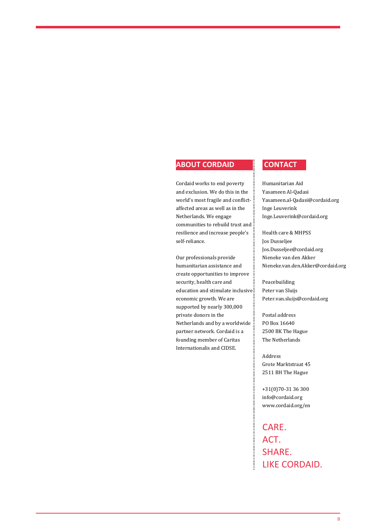#### **ABOUT CORDAID CONTACT**

Cordaid works to end poverty and exclusion. We do this in the world's most fragile and conflictaffected areas as well as in the Netherlands. We engage communities to rebuild trust and resilience and increase people's self-reliance.

Our professionals provide humanitarian assistance and create opportunities to improve security, health care and education and stimulate inclusive economic growth. We are supported by nearly 300,000 private donors in the Netherlands and by a worldwide partner network. Cordaid is a founding member of Caritas Internationalis and CIDSE.

Humanitarian Aid Yasameen Al-Qadasi [Yasameen.al-Qadasi@cordaid.org](mailto:Yasameen.al-Qadasi@cordaid.org) Inge Leuverink [Inge.Leuverink@cordaid.org](mailto:Inge.Leuverink@cordaid.org)

Health care & MHPSS Jos Dusseljee [Jos.Dusseljee@cordaid.org](mailto:Jos.Dusseljee@cordaid.org) Nieneke van den Akker [Nieneke.van.den.Akker@cordaid.org](mailto:Nieneke.van.den.Akker@cordaid.org)

Peacebuilding Peter van Sluijs Peter.van.sluijs@cordaid.org

Postal address PO Box 16640 2500 BK The Hague The Netherlands

Address Grote Marktstraat 45 2511 BH The Hague

+31(0)70-31 36 300 info@cordaid.org www.cordaid.org/en

CARE. ACT. SHARE. LIKE CORDAID.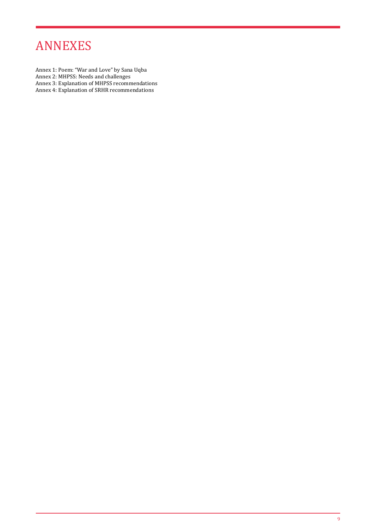### ANNEXES

- Annex 1: Poem: "War and Love" by Sana Uqba
- Annex 2: MHPSS: Needs and challenges
- Annex 3: Explanation of MHPSS recommendations
- Annex 4: Explanation of SRHR recommendations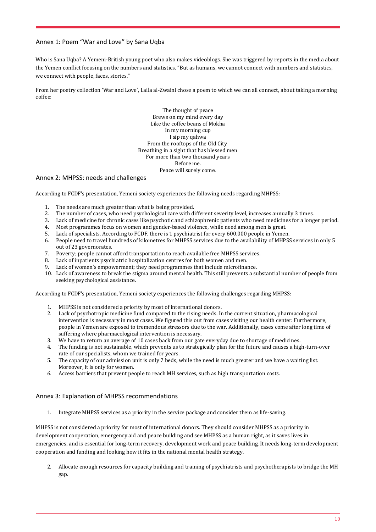#### Annex 1: Poem "War and Love" by Sana Uqba

Who is Sana Uqba? A Yemeni-British young poet who also makes videoblogs. She was triggered by reports in the media about the Yemen conflict focusing on the numbers and statistics. "But as humans, we cannot connect with numbers and statistics, we connect with people, faces, stories."

From her poetry collection 'War and Love', Laila al-Zwaini chose a poem to which we can all connect, about taking a morning coffee:

> The thought of peace Brews on my mind every day Like the coffee beans of Mokha In my morning cup I sip my qahwa From the rooftops of the Old City Breathing in a sight that has blessed men For more than two thousand years Before me. Peace will surely come.

#### Annex 2: MHPSS: needs and challenges

According to FCDF's presentation, Yemeni society experiences the following needs regarding MHPSS:

- 1. The needs are much greater than what is being provided.
- 2. The number of cases, who need psychological care with different severity level, increases annually 3 times.
- 3. Lack of medicine for chronic cases like psychotic and schizophrenic patients who need medicines for a longer period.
- 4. Most programmes focus on women and gender-based violence, while need among men is great.
- 5. Lack of specialists. According to FCDF, there is 1 psychiatrist for every 600,000 people in Yemen.
- 6. People need to travel hundreds of kilometres for MHPSS services due to the availability of MHPSS services in only 5 out of 23 governorates.
- 7. Poverty; people cannot afford transportation to reach available free MHPSS services.
- 8. Lack of inpatients psychiatric hospitalization centres for both women and men.
- 9. Lack of women's empowerment; they need programmes that include microfinance.
- 10. Lack of awareness to break the stigma around mental health. This still prevents a substantial number of people from seeking psychological assistance.

According to FCDF's presentation, Yemeni society experiences the following challenges regarding MHPSS:

- 1. MHPSS is not considered a priority by most of international donors.
- 2. Lack of psychotropic medicine fund compared to the rising needs. In the current situation, pharmacological intervention is necessary in most cases. We figured this out from cases visiting our health center. Furthermore, people in Yemen are exposed to tremendous stressors due to the war. Additionally, cases come after long time of suffering where pharmacological intervention is necessary.
- 3. We have to return an average of 10 cases back from our gate everyday due to shortage of medicines.<br>4. The funding is not sustainable, which prevents us to strategically plan for the future and causes a hig
- 4. The funding is not sustainable, which prevents us to strategically plan for the future and causes a high-turn-over rate of our specialists, whom we trained for years.
- 5. The capacity of our admission unit is only 7 beds, while the need is much greater and we have a waiting list. Moreover, it is only for women.
- 6. Access barriers that prevent people to reach MH services, such as high transportation costs.

#### Annex 3: Explanation of MHPSS recommendations

1. Integrate MHPSS services as a priority in the service package and consider them as life-saving.

MHPSS is not considered a priority for most of international donors. They should consider MHPSS as a priority in development cooperation, emergency aid and peace building and see MHPSS as a human right, as it saves lives in emergencies, and is essential for long-term recovery, development work and peace building. It needs long-term development cooperation and funding and looking how it fits in the national mental health strategy.

2. Allocate enough resources for capacity building and training of psychiatrists and psychotherapists to bridge the MH gap.